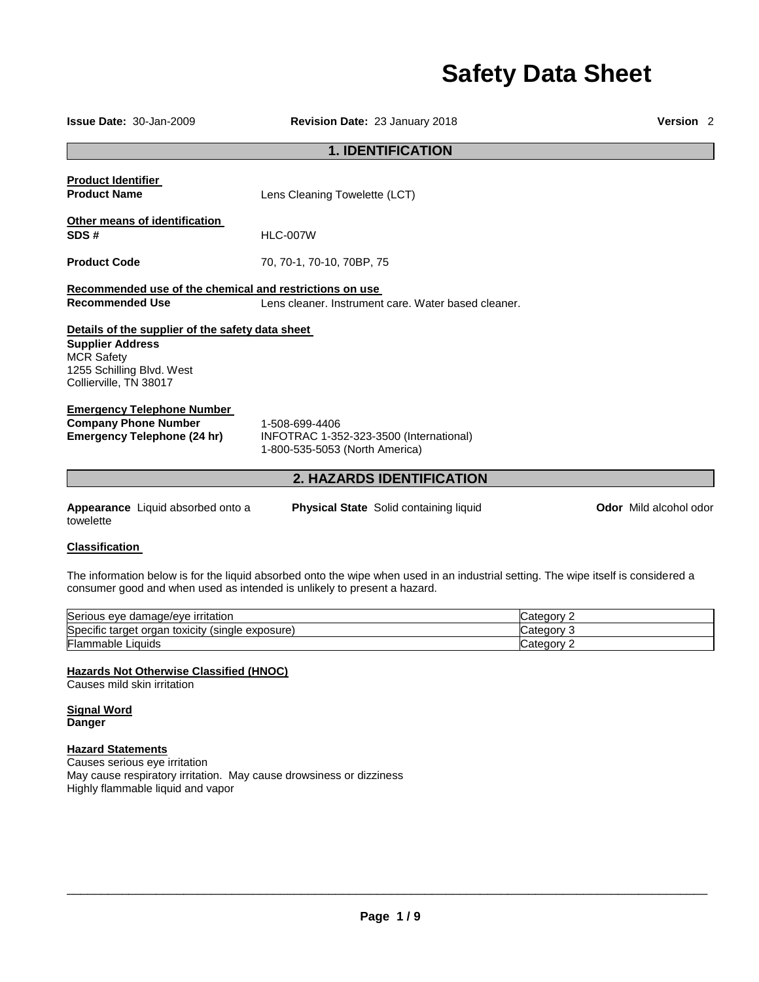# **Safety Data Sheet**

| <b>Issue Date: 30-Jan-2009</b>                                                                                                                          | <b>Revision Date: 23 January 2018</b>                                                                                              |                               |  |  |
|---------------------------------------------------------------------------------------------------------------------------------------------------------|------------------------------------------------------------------------------------------------------------------------------------|-------------------------------|--|--|
| <b>1. IDENTIFICATION</b>                                                                                                                                |                                                                                                                                    |                               |  |  |
| <b>Product Identifier</b><br><b>Product Name</b>                                                                                                        | Lens Cleaning Towelette (LCT)                                                                                                      |                               |  |  |
| Other means of identification<br>SDS#                                                                                                                   | <b>HLC-007W</b>                                                                                                                    |                               |  |  |
| <b>Product Code</b>                                                                                                                                     | 70, 70-1, 70-10, 70BP, 75                                                                                                          |                               |  |  |
| Recommended use of the chemical and restrictions on use<br><b>Recommended Use</b>                                                                       | Lens cleaner, Instrument care, Water based cleaner.                                                                                |                               |  |  |
| Details of the supplier of the safety data sheet<br><b>Supplier Address</b><br><b>MCR Safety</b><br>1255 Schilling Blvd. West<br>Collierville, TN 38017 |                                                                                                                                    |                               |  |  |
| <b>Emergency Telephone Number</b><br><b>Company Phone Number</b><br><b>Emergency Telephone (24 hr)</b>                                                  | 1-508-699-4406<br>INFOTRAC 1-352-323-3500 (International)<br>1-800-535-5053 (North America)                                        |                               |  |  |
|                                                                                                                                                         | <b>2. HAZARDS IDENTIFICATION</b>                                                                                                   |                               |  |  |
| Appearance Liquid absorbed onto a<br>towelette                                                                                                          | <b>Physical State</b> Solid containing liquid                                                                                      | <b>Odor</b> Mild alcohol odor |  |  |
| <b>Classification</b>                                                                                                                                   |                                                                                                                                    |                               |  |  |
| consumer good and when used as intended is unlikely to present a hazard.                                                                                | The information below is for the liquid absorbed onto the wipe when used in an industrial setting. The wipe itself is considered a |                               |  |  |

| Serious eye damage/eye irritation                         | ' ategory۔ |
|-----------------------------------------------------------|------------|
| Specific target<br>toxicity<br>(single exposure)<br>organ | ' ategory۔ |
| <b>Flammable Liquids</b>                                  | ∵ategoryٽ  |

# **Hazards Not Otherwise Classified (HNOC)**

Causes mild skin irritation

**Signal Word Danger** 

# **Hazard Statements**

Causes serious eye irritation May cause respiratory irritation. May cause drowsiness or dizziness Highly flammable liquid and vapor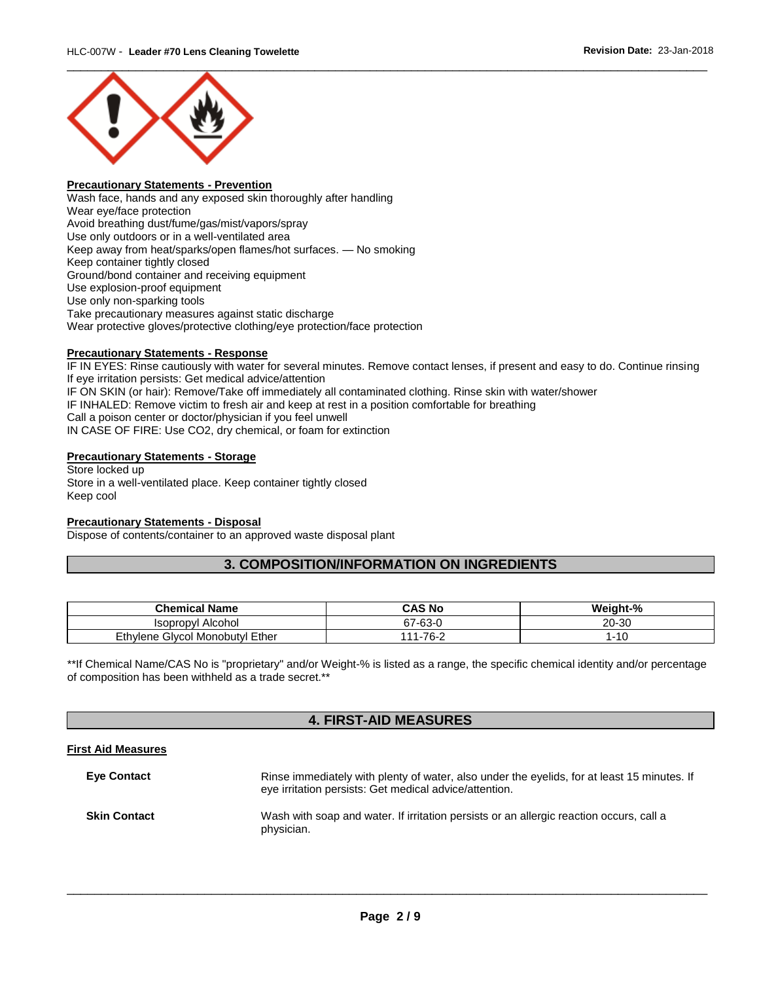

# **Precautionary Statements - Prevention**

Wash face, hands and any exposed skin thoroughly after handling Wear eye/face protection Avoid breathing dust/fume/gas/mist/vapors/spray Use only outdoors or in a well-ventilated area Keep away from heat/sparks/open flames/hot surfaces. — No smoking Keep container tightly closed Ground/bond container and receiving equipment Use explosion-proof equipment Use only non-sparking tools Take precautionary measures against static discharge Wear protective gloves/protective clothing/eye protection/face protection

### **Precautionary Statements - Response**

IF IN EYES: Rinse cautiously with water for several minutes. Remove contact lenses, if present and easy to do. Continue rinsing If eye irritation persists: Get medical advice/attention IF ON SKIN (or hair): Remove/Take off immediately all contaminated clothing. Rinse skin with water/shower IF INHALED: Remove victim to fresh air and keep at rest in a position comfortable for breathing Call a poison center or doctor/physician if you feel unwell IN CASE OF FIRE: Use CO2, dry chemical, or foam for extinction

# **Precautionary Statements - Storage**

Store locked up Store in a well-ventilated place. Keep container tightly closed Keep cool

#### **Precautionary Statements - Disposal**

Dispose of contents/container to an approved waste disposal plant

# **3. COMPOSITION/INFORMATION ON INGREDIENTS**

| <b>Chemical Name</b>            | CAS No             | Weight-%               |
|---------------------------------|--------------------|------------------------|
| Alcohol<br>Isopropyl            | $67 - 63 - 0$      | 20-30                  |
| Ethylene Glycol Monobutyl Ether | $1 - 76 - 2$<br>44 | $\overline{10}$<br>ົ∣ບ |

\*\*If Chemical Name/CAS No is "proprietary" and/or Weight-% is listed as a range, the specific chemical identity and/or percentage of composition has been withheld as a trade secret.\*\*

# **4. FIRST-AID MEASURES**

# **First Aid Measures**

| <b>Eve Contact</b>  | Rinse immediately with plenty of water, also under the eyelids, for at least 15 minutes. If<br>eye irritation persists: Get medical advice/attention. |
|---------------------|-------------------------------------------------------------------------------------------------------------------------------------------------------|
| <b>Skin Contact</b> | Wash with soap and water. If irritation persists or an allergic reaction occurs, call a<br>physician.                                                 |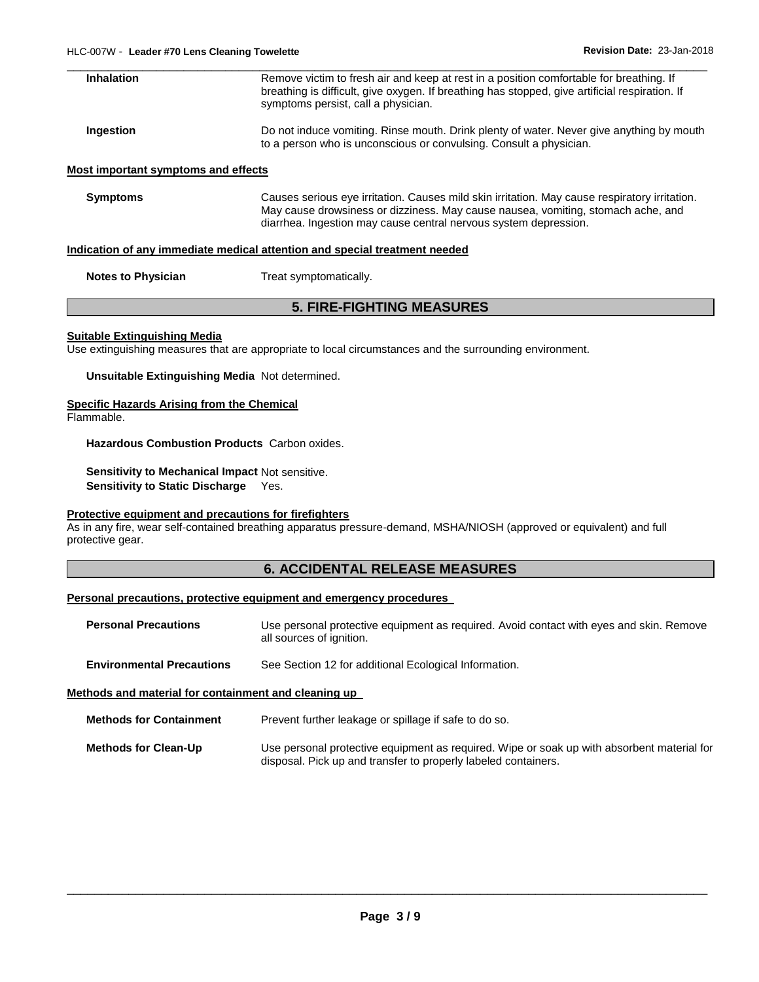| <b>Inhalation</b>                   | Remove victim to fresh air and keep at rest in a position comfortable for breathing. If<br>breathing is difficult, give oxygen. If breathing has stopped, give artificial respiration. If<br>symptoms persist, call a physician. |
|-------------------------------------|----------------------------------------------------------------------------------------------------------------------------------------------------------------------------------------------------------------------------------|
| Ingestion                           | Do not induce vomiting. Rinse mouth. Drink plenty of water. Never give anything by mouth<br>to a person who is unconscious or convulsing. Consult a physician.                                                                   |
| Most important symptoms and effects |                                                                                                                                                                                                                                  |

**Symptoms** Causes serious eye irritation. Causes mild skin irritation. May cause respiratory irritation. May cause drowsiness or dizziness. May cause nausea, vomiting, stomach ache, and diarrhea. Ingestion may cause central nervous system depression.

#### **Indication of any immediate medical attention and special treatment needed**

**Notes to Physician Treat symptomatically.** 

# **5. FIRE-FIGHTING MEASURES**

#### **Suitable Extinguishing Media**

Use extinguishing measures that are appropriate to local circumstances and the surrounding environment.

**Unsuitable Extinguishing Media** Not determined.

#### **Specific Hazards Arising from the Chemical**

Flammable.

**Hazardous Combustion Products** Carbon oxides.

**Sensitivity to Mechanical Impact** Not sensitive. **Sensitivity to Static Discharge** Yes.

#### **Protective equipment and precautions for firefighters**

As in any fire, wear self-contained breathing apparatus pressure-demand, MSHA/NIOSH (approved or equivalent) and full protective gear.

# **6. ACCIDENTAL RELEASE MEASURES**

# **Personal precautions, protective equipment and emergency procedures**

**Personal Precautions** Use personal protective equipment as required. Avoid contact with eyes and skin. Remove all sources of ignition.

**Environmental Precautions** See Section 12 for additional Ecological Information.

#### **Methods and material for containment and cleaning up**

**Methods for Clean-Up** Use personal protective equipment as required. Wipe or soak up with absorbent material for disposal. Pick up and transfer to properly labeled containers.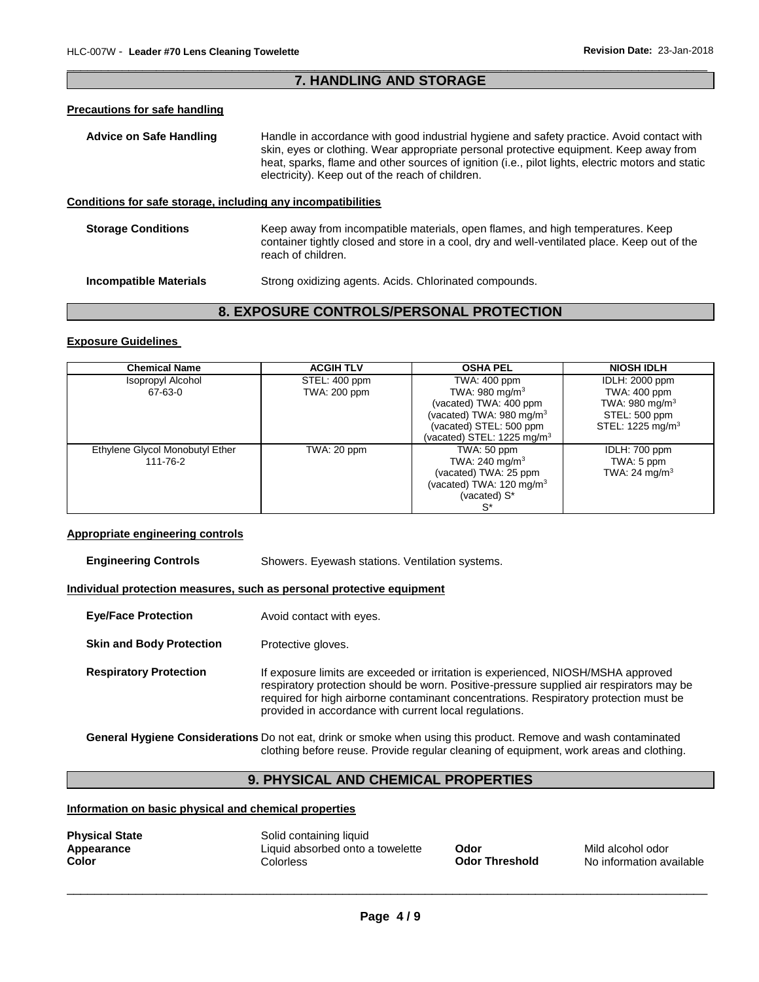# \_\_\_\_\_\_\_\_\_\_\_\_\_\_\_\_\_\_\_\_\_\_\_\_\_\_\_\_\_\_\_\_\_\_\_\_\_\_\_\_\_\_\_\_\_\_\_\_\_\_\_\_\_\_\_\_\_\_\_\_\_\_\_\_\_\_\_\_\_\_\_\_\_\_\_\_\_\_\_\_\_\_\_\_\_\_\_\_\_\_\_\_\_ **7. HANDLING AND STORAGE**

#### **Precautions for safe handling**

**Advice on Safe Handling** Handle in accordance with good industrial hygiene and safety practice. Avoid contact with skin, eyes or clothing. Wear appropriate personal protective equipment. Keep away from heat, sparks, flame and other sources of ignition (i.e., pilot lights, electric motors and static electricity). Keep out of the reach of children. **Conditions for safe storage, including any incompatibilities**

| <b>Storage Conditions</b> | Keep away from incompatible materials, open flames, and high temperatures. Keep<br>container tightly closed and store in a cool, dry and well-ventilated place. Keep out of the<br>reach of children. |
|---------------------------|-------------------------------------------------------------------------------------------------------------------------------------------------------------------------------------------------------|
|                           |                                                                                                                                                                                                       |

**Incompatible Materials Strong oxidizing agents. Acids. Chlorinated compounds.** 

# **8. EXPOSURE CONTROLS/PERSONAL PROTECTION**

# **Exposure Guidelines**

| <b>Chemical Name</b>            | <b>ACGIH TLV</b> | <b>OSHA PEL</b>                      | <b>NIOSH IDLH</b>            |
|---------------------------------|------------------|--------------------------------------|------------------------------|
| Isopropyl Alcohol               | STEL: 400 ppm    | TWA: 400 ppm                         | <b>IDLH: 2000 ppm</b>        |
| 67-63-0                         | TWA: 200 ppm     | TWA: $980 \text{ mg/m}^3$            | <b>TWA: 400 ppm</b>          |
|                                 |                  | (vacated) TWA: 400 ppm               | TWA: 980 mg/m $3$            |
|                                 |                  | (vacated) TWA: 980 mg/m <sup>3</sup> | STEL: 500 ppm                |
|                                 |                  | (vacated) STEL: 500 ppm              | STEL: 1225 mg/m <sup>3</sup> |
|                                 |                  | (vacated) STEL: 1225 mg/m $3$        |                              |
| Ethylene Glycol Monobutyl Ether | TWA: 20 ppm      | TWA: 50 ppm                          | IDLH: 700 ppm                |
| 111-76-2                        |                  | TWA: 240 mg/m <sup>3</sup>           | TWA: 5 ppm                   |
|                                 |                  | (vacated) TWA: 25 ppm                | TWA: 24 mg/m <sup>3</sup>    |
|                                 |                  | (vacated) TWA: 120 mg/m <sup>3</sup> |                              |
|                                 |                  | (vacated) S*                         |                              |
|                                 |                  | $S^*$                                |                              |

# **Appropriate engineering controls**

**Engineering Controls Showers. Eyewash stations. Ventilation systems.** 

**Individual protection measures, such as personal protective equipment**

- **Eye/Face Protection** Avoid contact with eyes.
- **Skin and Body Protection** Protective gloves.

**Respiratory Protection** If exposure limits are exceeded or irritation is experienced, NIOSH/MSHA approved respiratory protection should be worn. Positive-pressure supplied air respirators may be required for high airborne contaminant concentrations. Respiratory protection must be provided in accordance with current local regulations.

**General Hygiene Considerations** Do not eat, drink or smoke when using this product. Remove and wash contaminated clothing before reuse. Provide regular cleaning of equipment, work areas and clothing.

# **9. PHYSICAL AND CHEMICAL PROPERTIES**

# **Information on basic physical and chemical properties**

| <b>Physical State</b><br>Appearance<br>Color | Solid containing liquid<br>Liquid absorbed onto a towelette<br>Colorless | <b>Odor</b><br><b>Odor Threshold</b> | Mild alcohol odor<br>No information available |
|----------------------------------------------|--------------------------------------------------------------------------|--------------------------------------|-----------------------------------------------|
|----------------------------------------------|--------------------------------------------------------------------------|--------------------------------------|-----------------------------------------------|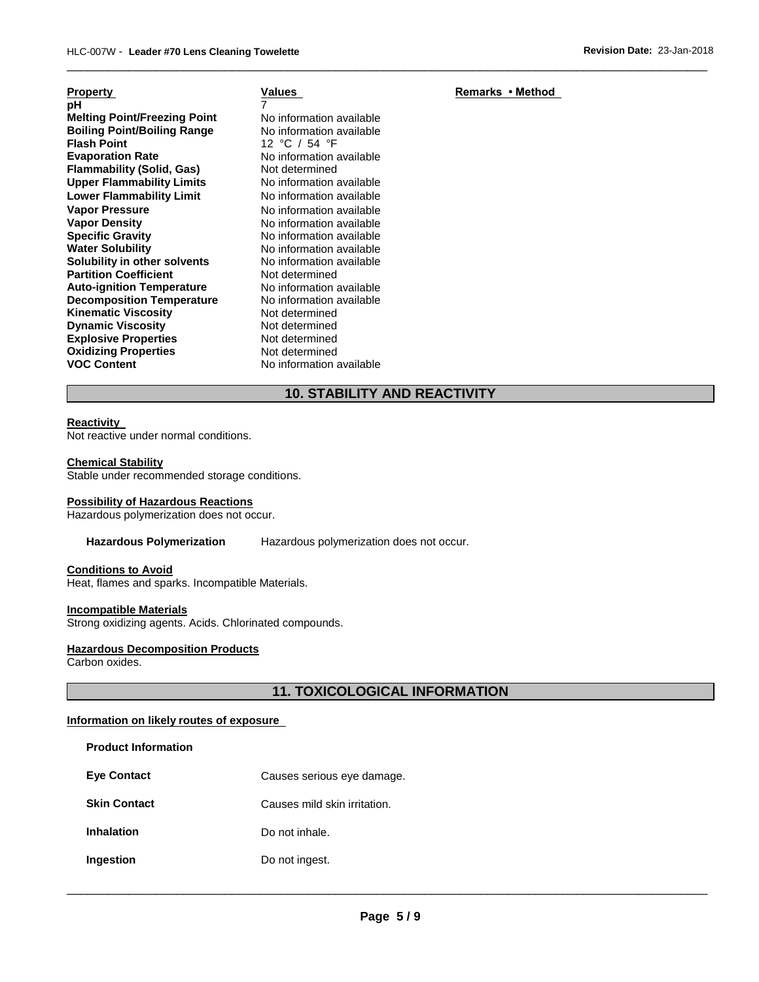| <b>Property</b>                     | <u>V:</u>      |
|-------------------------------------|----------------|
| рH                                  | $\overline{7}$ |
| <b>Melting Point/Freezing Point</b> | N۱             |
| <b>Boiling Point/Boiling Range</b>  | N              |
| <b>Flash Point</b>                  | 12             |
| <b>Evaporation Rate</b>             | N              |
| <b>Flammability (Solid, Gas)</b>    | N۰             |
| <b>Upper Flammability Limits</b>    | N              |
| <b>Lower Flammability Limit</b>     | N۰             |
| <b>Vapor Pressure</b>               | N١             |
| <b>Vapor Density</b>                | N١             |
| <b>Specific Gravity</b>             | N۱             |
| <b>Water Solubility</b>             | N۰             |
| Solubility in other solvents        | N۰             |
| <b>Partition Coefficient</b>        | N۱             |
| <b>Auto-ignition Temperature</b>    | N۱             |
| <b>Decomposition Temperature</b>    | N۰             |
| <b>Kinematic Viscosity</b>          | N۱             |
| <b>Dynamic Viscosity</b>            | N              |
| <b>Explosive Properties</b>         | N١             |
| <b>Oxidizing Properties</b>         | N              |
| <b>VOC Content</b>                  | N              |
|                                     |                |

**Melting Point/Freezing Point** No information available **No information available Flash Point** 12 °C / 54 °F **No information available Not determined No information available No information available No information available No information available Specific Gravity** No information available **No information available** No information available **Not determined No information available No information available Not determined Not determined Not determined** Not determined **No information available** 

# **10. STABILITY AND REACTIVITY**

\_\_\_\_\_\_\_\_\_\_\_\_\_\_\_\_\_\_\_\_\_\_\_\_\_\_\_\_\_\_\_\_\_\_\_\_\_\_\_\_\_\_\_\_\_\_\_\_\_\_\_\_\_\_\_\_\_\_\_\_\_\_\_\_\_\_\_\_\_\_\_\_\_\_\_\_\_\_\_\_\_\_\_\_\_\_\_\_\_\_\_\_\_

#### **Reactivity**

Not reactive under normal conditions.

#### **Chemical Stability**

Stable under recommended storage conditions.

#### **Possibility of Hazardous Reactions**

Hazardous polymerization does not occur.

**Hazardous Polymerization** Hazardous polymerization does not occur.

#### **Conditions to Avoid**

Heat, flames and sparks. Incompatible Materials.

#### **Incompatible Materials**

**Product Information** 

Strong oxidizing agents. Acids. Chlorinated compounds.

# **Hazardous Decomposition Products**

Carbon oxides.

# **11. TOXICOLOGICAL INFORMATION**

# **Information on likely routes of exposure**

| <b>Eve Contact</b>  | Causes serious eye damage.   |
|---------------------|------------------------------|
| <b>Skin Contact</b> | Causes mild skin irritation. |
| Inhalation          | Do not inhale.               |
| Ingestion           | Do not ingest.               |
|                     |                              |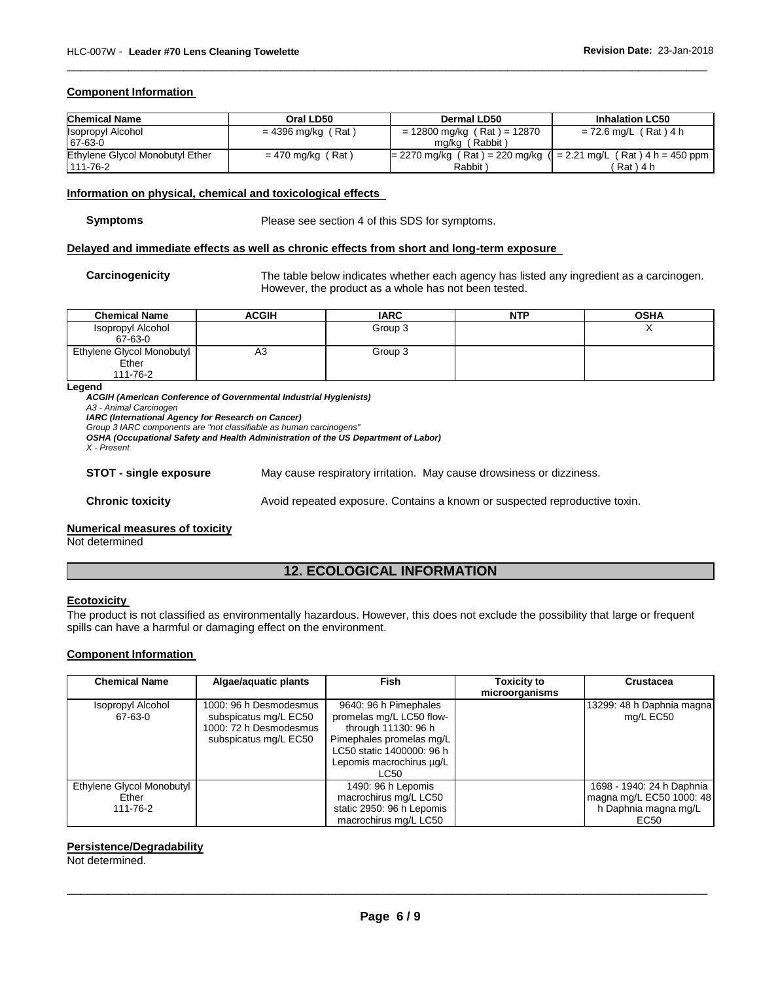# **Component Information**

| <b>Chemical Name</b>            | Oral LD50            | Dermal LD50                                                          | <b>Inhalation LC50</b>  |
|---------------------------------|----------------------|----------------------------------------------------------------------|-------------------------|
| <b>Isopropyl Alcohol</b>        | $= 4396$ mg/kg (Rat) | $= 12800$ mg/kg (Rat) = 12870                                        | $= 72.6$ mg/L (Rat) 4 h |
| 67-63-0                         |                      | mg/kg (Rabbit)                                                       |                         |
| Ethylene Glycol Monobutyl Ether | $= 470$ mg/kg (Rat)  | $= 2270$ mg/kg (Rat) = 220 mg/kg ( $= 2.21$ mg/L (Rat) 4 h = 450 ppm |                         |
| 111-76-2                        |                      | Rabbit)                                                              | 「Rat)4 h                |

\_\_\_\_\_\_\_\_\_\_\_\_\_\_\_\_\_\_\_\_\_\_\_\_\_\_\_\_\_\_\_\_\_\_\_\_\_\_\_\_\_\_\_\_\_\_\_\_\_\_\_\_\_\_\_\_\_\_\_\_\_\_\_\_\_\_\_\_\_\_\_\_\_\_\_\_\_\_\_\_\_\_\_\_\_\_\_\_\_\_\_\_\_

# **Information on physical, chemical and toxicological effects**

**Symptoms** Please see section 4 of this SDS for symptoms.

#### **Delayed and immediate effects as well as chronic effects from short and long-term exposure**

**Carcinogenicity** The table below indicates whether each agency has listed any ingredient as a carcinogen. However, the product as a whole has not been tested.

| <b>Chemical Name</b>      | <b>ACGIH</b> | <b>IARC</b> | NTP | <b>OSHA</b> |
|---------------------------|--------------|-------------|-----|-------------|
| Isopropyl Alcohol         |              | Group 3     |     |             |
| 67-63-0                   |              |             |     |             |
| Ethylene Glycol Monobutyl | A3           | Group 3     |     |             |
| Ether                     |              |             |     |             |
| 111-76-2                  |              |             |     |             |

#### **Legend**

*ACGIH (American Conference of Governmental Industrial Hygienists) A3 - Animal Carcinogen IARC (International Agency for Research on Cancer) Group 3 IARC components are "not classifiable as human carcinogens"* 

*OSHA (Occupational Safety and Health Administration of the US Department of Labor)*

*X - Present* 

**STOT - single exposure** May cause respiratory irritation. May cause drowsiness or dizziness.

**Chronic toxicity Avoid repeated exposure. Contains a known or suspected reproductive toxin.** 

### **Numerical measures of toxicity**

Not determined

# **12. ECOLOGICAL INFORMATION**

#### **Ecotoxicity**

The product is not classified as environmentally hazardous. However, this does not exclude the possibility that large or frequent spills can have a harmful or damaging effect on the environment.

# **Component Information**

| <b>Chemical Name</b>                           | Algae/aquatic plants                                                                               | <b>Fish</b>                                                                                                                                                           | <b>Toxicity to</b><br>microorganisms | <b>Crustacea</b>                                                                      |
|------------------------------------------------|----------------------------------------------------------------------------------------------------|-----------------------------------------------------------------------------------------------------------------------------------------------------------------------|--------------------------------------|---------------------------------------------------------------------------------------|
| Isopropyl Alcohol<br>67-63-0                   | 1000: 96 h Desmodesmus<br>subspicatus mg/L EC50<br>1000: 72 h Desmodesmus<br>subspicatus mg/L EC50 | 9640: 96 h Pimephales<br>promelas mg/L LC50 flow-<br>through 11130: 96 h<br>Pimephales promelas mg/L<br>LC50 static 1400000: 96 h<br>Lepomis macrochirus ug/L<br>LC50 |                                      | 13299: 48 h Daphnia magna<br>mg/L EC50                                                |
| Ethylene Glycol Monobutyl<br>Ether<br>111-76-2 |                                                                                                    | 1490: 96 h Lepomis<br>macrochirus mg/L LC50<br>static 2950: 96 h Lepomis<br>macrochirus mg/L LC50                                                                     |                                      | 1698 - 1940: 24 h Daphnia<br>magna mg/L EC50 1000: 48<br>h Daphnia magna mg/L<br>EC50 |

# **Persistence/Degradability**

Not determined.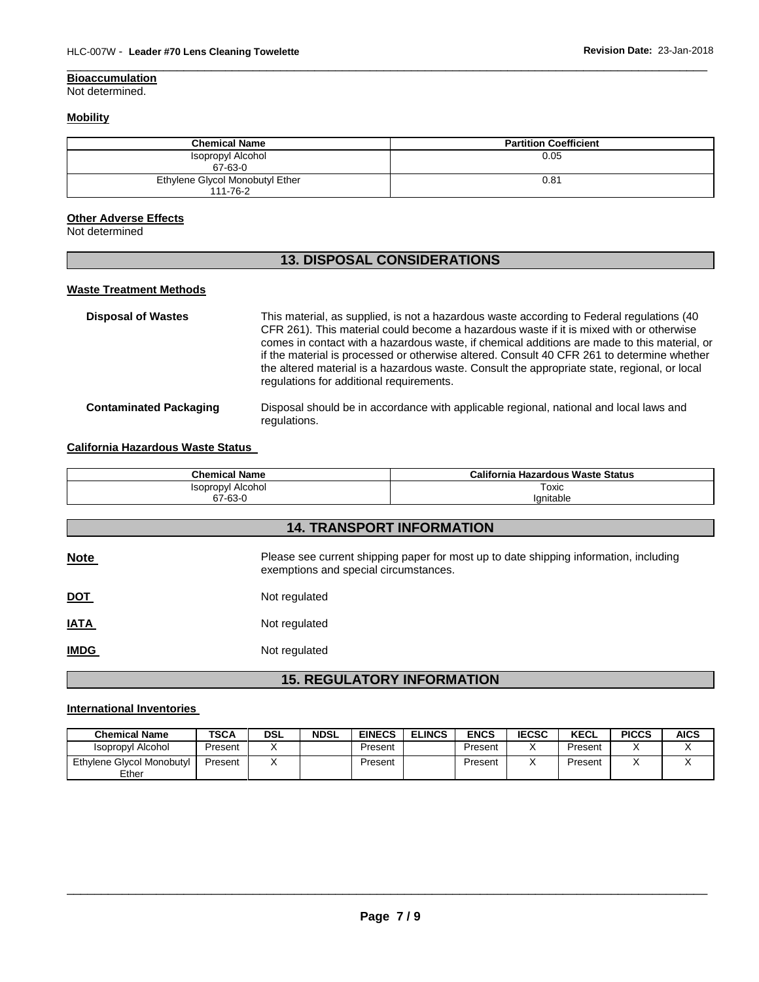# **Bioaccumulation**

Not determined.

# **Mobility**

| <b>Chemical Name</b>                        | <b>Partition Coefficient</b> |
|---------------------------------------------|------------------------------|
| Isopropyl Alcohol<br>67-63-0                | 0.05                         |
| Ethylene Glycol Monobutyl Ether<br>111-76-2 | 0.81                         |

\_\_\_\_\_\_\_\_\_\_\_\_\_\_\_\_\_\_\_\_\_\_\_\_\_\_\_\_\_\_\_\_\_\_\_\_\_\_\_\_\_\_\_\_\_\_\_\_\_\_\_\_\_\_\_\_\_\_\_\_\_\_\_\_\_\_\_\_\_\_\_\_\_\_\_\_\_\_\_\_\_\_\_\_\_\_\_\_\_\_\_\_\_

# **Other Adverse Effects**

Not determined

# **13. DISPOSAL CONSIDERATIONS**

# **Waste Treatment Methods**

| <b>Disposal of Wastes</b>     | This material, as supplied, is not a hazardous waste according to Federal regulations (40<br>CFR 261). This material could become a hazardous waste if it is mixed with or otherwise<br>comes in contact with a hazardous waste, if chemical additions are made to this material, or<br>if the material is processed or otherwise altered. Consult 40 CFR 261 to determine whether<br>the altered material is a hazardous waste. Consult the appropriate state, regional, or local<br>regulations for additional requirements. |
|-------------------------------|--------------------------------------------------------------------------------------------------------------------------------------------------------------------------------------------------------------------------------------------------------------------------------------------------------------------------------------------------------------------------------------------------------------------------------------------------------------------------------------------------------------------------------|
| <b>Contaminated Packaging</b> | Disposal should be in accordance with applicable regional, national and local laws and<br>regulations.                                                                                                                                                                                                                                                                                                                                                                                                                         |

# **California Hazardous Waste Status**

| <b>Chemical Name</b>             | California Hazardous Waste Status |  |  |  |  |
|----------------------------------|-----------------------------------|--|--|--|--|
| Isopropyl Alcohol                | Toxic                             |  |  |  |  |
| 67-63-0                          | lanitable                         |  |  |  |  |
|                                  |                                   |  |  |  |  |
| <b>14. TRANSPORT INFORMATION</b> |                                   |  |  |  |  |

| <b>Note</b> | Please see current shipping paper for most up to date shipping information, including<br>exemptions and special circumstances. |
|-------------|--------------------------------------------------------------------------------------------------------------------------------|
| <u>DOT</u>  | Not regulated                                                                                                                  |
| <u>IATA</u> | Not regulated                                                                                                                  |
| <b>IMDG</b> | Not regulated                                                                                                                  |

# **15. REGULATORY INFORMATION**

# **International Inventories**

| <b>Chemical Name</b>               | <b>TSCA</b> | <b>DSL</b> | <b>NDSL</b> | <b>EINECS</b> | <b>ELINCS</b> | <b>ENCS</b> | <b>IECSC</b> | <b>KECL</b> | <b>PICCS</b> | <b>AICS</b> |
|------------------------------------|-------------|------------|-------------|---------------|---------------|-------------|--------------|-------------|--------------|-------------|
| <b>Isopropyl Alcohol</b>           | Present     |            |             | Present       |               | Present     |              | Present     |              |             |
| Ethylene Glycol Monobutyl<br>Ether | Present     |            |             | Present       |               | Present     |              | Present     |              | ↗           |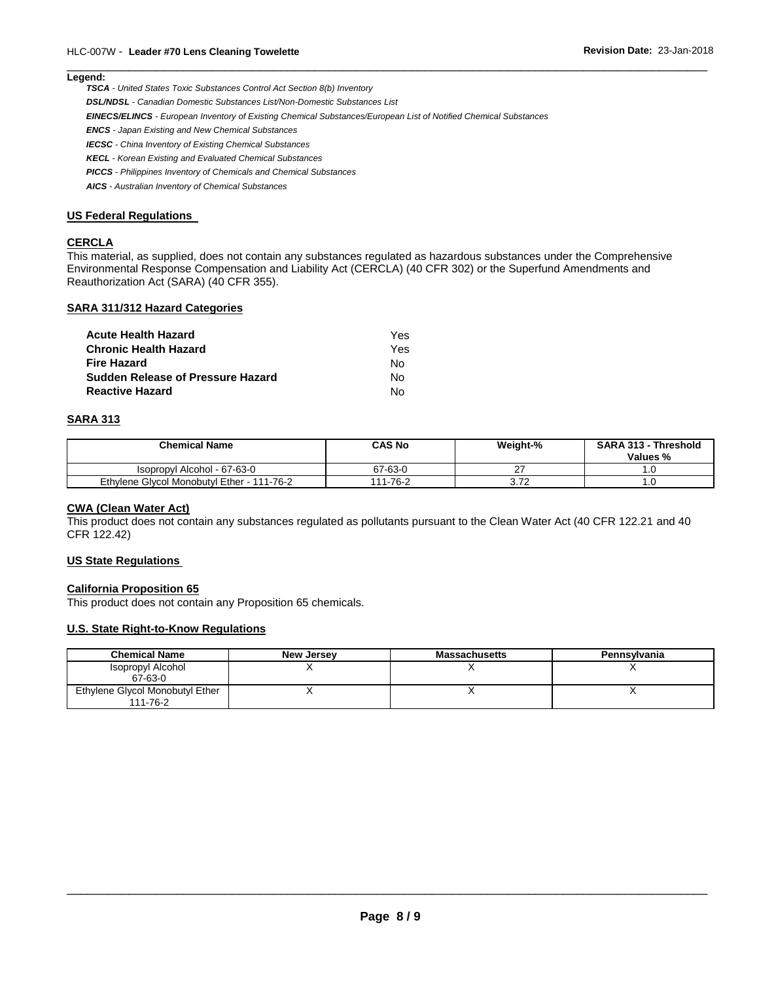## **Legend:**

*TSCA - United States Toxic Substances Control Act Section 8(b) Inventory* 

*DSL/NDSL - Canadian Domestic Substances List/Non-Domestic Substances List* 

*EINECS/ELINCS - European Inventory of Existing Chemical Substances/European List of Notified Chemical Substances* 

*ENCS - Japan Existing and New Chemical Substances* 

*IECSC - China Inventory of Existing Chemical Substances* 

*KECL - Korean Existing and Evaluated Chemical Substances* 

*PICCS - Philippines Inventory of Chemicals and Chemical Substances* 

*AICS - Australian Inventory of Chemical Substances* 

#### **US Federal Regulations**

#### **CERCLA**

This material, as supplied, does not contain any substances regulated as hazardous substances under the Comprehensive Environmental Response Compensation and Liability Act (CERCLA) (40 CFR 302) or the Superfund Amendments and Reauthorization Act (SARA) (40 CFR 355).

\_\_\_\_\_\_\_\_\_\_\_\_\_\_\_\_\_\_\_\_\_\_\_\_\_\_\_\_\_\_\_\_\_\_\_\_\_\_\_\_\_\_\_\_\_\_\_\_\_\_\_\_\_\_\_\_\_\_\_\_\_\_\_\_\_\_\_\_\_\_\_\_\_\_\_\_\_\_\_\_\_\_\_\_\_\_\_\_\_\_\_\_\_

# **SARA 311/312 Hazard Categories**

| Acute Health Hazard               | Yes |
|-----------------------------------|-----|
| Chronic Health Hazard             | Yes |
| Fire Hazard                       | N٥  |
| Sudden Release of Pressure Hazard | N٥  |
| <b>Reactive Hazard</b>            | N٥  |

#### **SARA 313**

| <b>Chemical Name</b>                       | <b>CAS No</b> | Weight-%                           | <b>SARA 313 - Threshold</b><br>Values % |
|--------------------------------------------|---------------|------------------------------------|-----------------------------------------|
| Isopropyl Alcohol - 67-63-0                | 67-63-0       | ົ                                  |                                         |
| Ethylene Glycol Monobutyl Ether - 111-76-2 | 111-76-2      | $\overline{\phantom{a}}$<br>J. 1 Z | í.U                                     |

#### **CWA (Clean Water Act)**

This product does not contain any substances regulated as pollutants pursuant to the Clean Water Act (40 CFR 122.21 and 40 CFR 122.42)

# **US State Regulations**

#### **California Proposition 65**

This product does not contain any Proposition 65 chemicals.

#### **U.S. State Right-to-Know Regulations**

| <b>Chemical Name</b>                        | <b>New Jersey</b> | <b>Massachusetts</b> | Pennsylvania |
|---------------------------------------------|-------------------|----------------------|--------------|
| Isopropyl Alcohol<br>67-63-0                |                   |                      |              |
| Ethylene Glycol Monobutyl Ether<br>111-76-2 |                   |                      |              |